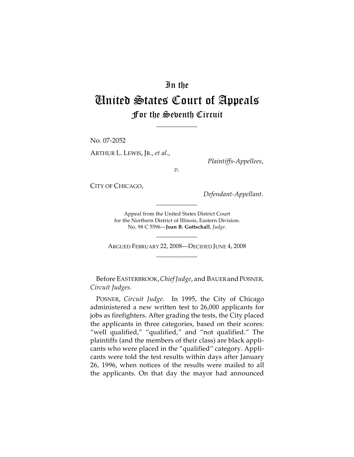## In the United States Court of Appeals For the Seventh Circuit

\_\_\_\_\_\_\_\_\_\_\_\_

No. 07-2052

ARTHUR L. LEWIS, JR., *et al*.,

*Plaintiffs-Appellees*,

*v.*

CITY OF CHICAGO,

*Defendant-Appellant*.

Appeal from the United States District Court for the Northern District of Illinois, Eastern Division. No. 98 C 5596—**Joan B. Gottschall**, *Judge*.

\_\_\_\_\_\_\_\_\_\_\_\_

ARGUED FEBRUARY 22, 2008—DECIDED JUNE 4, 2008 \_\_\_\_\_\_\_\_\_\_\_\_

\_\_\_\_\_\_\_\_\_\_\_\_

Before EASTERBROOK, Chief Judge, and BAUER and POSNER, *Circuit Judges*.

POSNER, *Circuit Judge*. In 1995, the City of Chicago administered a new written test to 26,000 applicants for jobs as firefighters. After grading the tests, the City placed the applicants in three categories, based on their scores: "well qualified," "qualified," and "not qualified." The plaintiffs (and the members of their class) are black applicants who were placed in the "qualified" category. Applicants were told the test results within days after January 26, 1996, when notices of the results were mailed to all the applicants. On that day the mayor had announced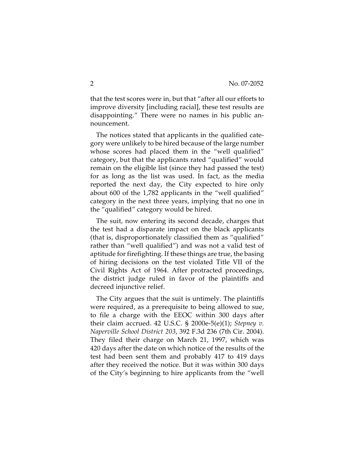that the test scores were in, but that "after all our efforts to improve diversity [including racial], these test results are disappointing." There were no names in his public announcement.

The notices stated that applicants in the qualified category were unlikely to be hired because of the large number whose scores had placed them in the "well qualified" category, but that the applicants rated "qualified" would remain on the eligible list (since they had passed the test) for as long as the list was used. In fact, as the media reported the next day, the City expected to hire only about 600 of the 1,782 applicants in the "well qualified" category in the next three years, implying that no one in the "qualified" category would be hired.

The suit, now entering its second decade, charges that the test had a disparate impact on the black applicants (that is, disproportionately classified them as "qualified" rather than "well qualified") and was not a valid test of aptitude for firefighting. If these things are true, the basing of hiring decisions on the test violated Title VII of the Civil Rights Act of 1964. After protracted proceedings, the district judge ruled in favor of the plaintiffs and decreed injunctive relief.

The City argues that the suit is untimely. The plaintiffs were required, as a prerequisite to being allowed to sue, to file a charge with the EEOC within 300 days after their claim accrued. 42 U.S.C. § 2000e-5(e)(1); *Stepney v. Naperville School District 203*, 392 F.3d 236 (7th Cir. 2004). They filed their charge on March 21, 1997, which was 420 days after the date on which notice of the results of the test had been sent them and probably 417 to 419 days after they received the notice. But it was within 300 days of the City's beginning to hire applicants from the "well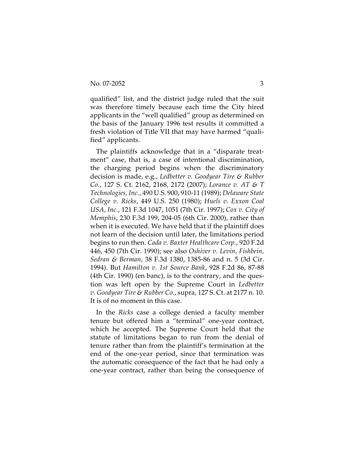qualified" list, and the district judge ruled that the suit was therefore timely because each time the City hired applicants in the "well qualified" group as determined on the basis of the January 1996 test results it committed a fresh violation of Title VII that may have harmed "qualified" applicants.

The plaintiffs acknowledge that in a "disparate treatment" case, that is, a case of intentional discrimination, the charging period begins when the discriminatory decision is made, e.g., *Ledbetter v. Goodyear Tire & Rubber Co.*, 127 S. Ct. 2162, 2168, 2172 (2007); *Lorance v. AT & T Technologies, Inc.*, 490 U.S. 900, 910-11 (1989); *Delaware State College v. Ricks*, 449 U.S. 250 (1980); *Huels v. Exxon Coal USA, Inc.*, 121 F.3d 1047, 1051 (7th Cir. 1997); *Cox v. City of Memphis*, 230 F.3d 199, 204-05 (6th Cir. 2000), rather than when it is executed. We have held that if the plaintiff does not learn of the decision until later, the limitations period begins to run then. *Cada v. Baxter Healthcare Corp.*, 920 F.2d 446, 450 (7th Cir. 1990); see also *Oshiver v. Levin, Fishbein, Sedran & Berman*, 38 F.3d 1380, 1385-86 and n. 5 (3d Cir. 1994). But *Hamilton v. 1st Source Bank*, 928 F.2d 86, 87-88 (4th Cir. 1990) (en banc), is to the contrary, and the question was left open by the Supreme Court in *Ledbetter v. Goodyear Tire & Rubber Co*., supra, 127 S. Ct. at 2177 n. 10. It is of no moment in this case.

In the *Ricks* case a college denied a faculty member tenure but offered him a "terminal" one-year contract, which he accepted. The Supreme Court held that the statute of limitations began to run from the denial of tenure rather than from the plaintiff's termination at the end of the one-year period, since that termination was the automatic consequence of the fact that he had only a one-year contract, rather than being the consequence of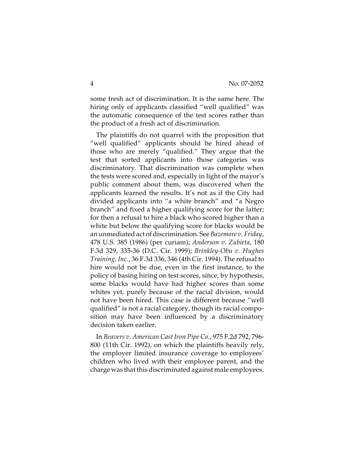some fresh act of discrimination. It is the same here. The hiring only of applicants classified "well qualified" was the automatic consequence of the test scores rather than the product of a fresh act of discrimination.

The plaintiffs do not quarrel with the proposition that "well qualified" applicants should be hired ahead of those who are merely "qualified." They argue that the test that sorted applicants into those categories was discriminatory. That discrimination was complete when the tests were scored and, especially in light of the mayor's public comment about them, was discovered when the applicants learned the results. It's not as if the City had divided applicants into "a white branch" and "a Negro branch" and fixed a higher qualifying score for the latter; for then a refusal to hire a black who scored higher than a white but below the qualifying score for blacks would be an unmediated act of discrimination. See *Bazemore v. Friday*, 478 U.S. 385 (1986) (per curiam); *Anderson v. Zubieta*, 180 F.3d 329, 335-36 (D.C. Cir. 1999); *Brinkley-Obu v. Hughes Training, Inc.*, 36 F.3d 336, 346 (4th Cir. 1994). The refusal to hire would not be due, even in the first instance, to the policy of basing hiring on test scores, since, by hypothesis, some blacks would have had higher scores than some whites yet, purely because of the racial division, would not have been hired. This case is different because "well qualified" is not a racial category, though its racial composition may have been influenced by a discriminatory decision taken earlier.

In *Beavers v. American Cast Iron Pipe Co.*, 975 F.2d 792, 796- 800 (11th Cir. 1992), on which the plaintiffs heavily rely, the employer limited insurance coverage to employees' children who lived with their employee parent, and the charge was that this discriminated against male employees.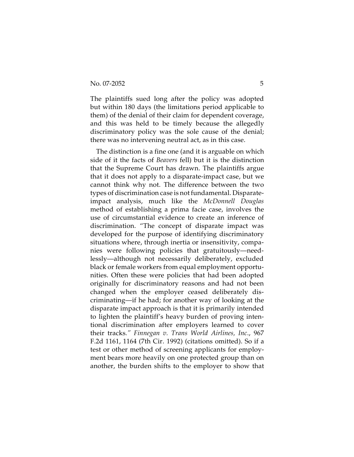The plaintiffs sued long after the policy was adopted but within 180 days (the limitations period applicable to them) of the denial of their claim for dependent coverage, and this was held to be timely because the allegedly discriminatory policy was the sole cause of the denial; there was no intervening neutral act, as in this case.

The distinction is a fine one (and it is arguable on which side of it the facts of *Beavers* fell) but it is the distinction that the Supreme Court has drawn. The plaintiffs argue that it does not apply to a disparate-impact case, but we cannot think why not. The difference between the two types of discrimination case is not fundamental. Disparateimpact analysis, much like the *McDonnell Douglas* method of establishing a prima facie case, involves the use of circumstantial evidence to create an inference of discrimination. "The concept of disparate impact was developed for the purpose of identifying discriminatory situations where, through inertia or insensitivity, companies were following policies that gratuitously—needlessly—although not necessarily deliberately, excluded black or female workers from equal employment opportunities. Often these were policies that had been adopted originally for discriminatory reasons and had not been changed when the employer ceased deliberately discriminating—if he had; for another way of looking at the disparate impact approach is that it is primarily intended to lighten the plaintiff's heavy burden of proving intentional discrimination after employers learned to cover their tracks*." Finnegan v. Trans World Airlines, Inc*., 967 F.2d 1161, 1164 (7th Cir. 1992) (citations omitted). So if a test or other method of screening applicants for employment bears more heavily on one protected group than on another, the burden shifts to the employer to show that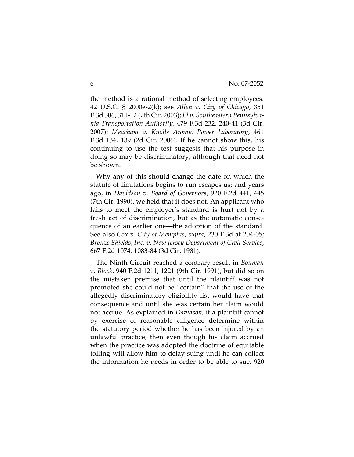the method is a rational method of selecting employees. 42 U.S.C. § 2000e-2(k); see *Allen v. City of Chicago*, 351 F.3d 306, 311-12 (7th Cir. 2003); *El v. Southeastern Pennsylvania Transportation Authority*, 479 F.3d 232, 240-41 (3d Cir. 2007); *Meacham v. Knolls Atomic Power Laboratory*, 461 F.3d 134, 139 (2d Cir. 2006). If he cannot show this, his continuing to use the test suggests that his purpose in doing so may be discriminatory, although that need not be shown.

Why any of this should change the date on which the statute of limitations begins to run escapes us; and years ago, in *Davidson v. Board of Governors*, 920 F.2d 441, 445 (7th Cir. 1990), we held that it does not. An applicant who fails to meet the employer's standard is hurt not by a fresh act of discrimination, but as the automatic consequence of an earlier one—the adoption of the standard. See also *Cox v. City of Memphis*, *supra*, 230 F.3d at 204-05; *Bronze Shields, Inc. v. New Jersey Department of Civil Service*, 667 F.2d 1074, 1083-84 (3d Cir. 1981).

The Ninth Circuit reached a contrary result in *Bouman v. Block*, 940 F.2d 1211, 1221 (9th Cir. 1991), but did so on the mistaken premise that until the plaintiff was not promoted she could not be "certain" that the use of the allegedly discriminatory eligibility list would have that consequence and until she was certain her claim would not accrue. As explained in *Davidson*, if a plaintiff cannot by exercise of reasonable diligence determine within the statutory period whether he has been injured by an unlawful practice, then even though his claim accrued when the practice was adopted the doctrine of equitable tolling will allow him to delay suing until he can collect the information he needs in order to be able to sue. 920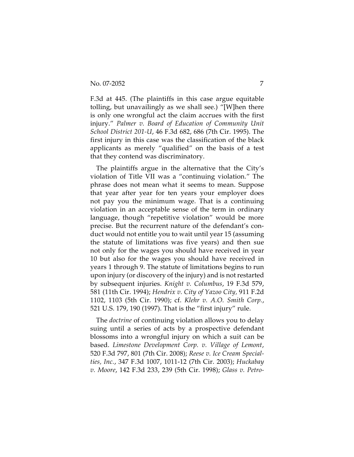F.3d at 445. (The plaintiffs in this case argue equitable tolling, but unavailingly as we shall see.) "[W]hen there is only one wrongful act the claim accrues with the first injury." *Palmer v. Board of Education of Community Unit School District 201-U*, 46 F.3d 682, 686 (7th Cir. 1995). The first injury in this case was the classification of the black applicants as merely "qualified" on the basis of a test that they contend was discriminatory.

The plaintiffs argue in the alternative that the City's violation of Title VII was a "continuing violation." The phrase does not mean what it seems to mean. Suppose that year after year for ten years your employer does not pay you the minimum wage. That is a continuing violation in an acceptable sense of the term in ordinary language, though "repetitive violation" would be more precise. But the recurrent nature of the defendant's conduct would not entitle you to wait until year 15 (assuming the statute of limitations was five years) and then sue not only for the wages you should have received in year 10 but also for the wages you should have received in years 1 through 9. The statute of limitations begins to run upon injury (or discovery of the injury) and is not restarted by subsequent injuries. *Knight v. Columbus*, 19 F.3d 579, 581 (11th Cir. 1994); *Hendrix v. City of Yazoo City,* 911 F.2d 1102, 1103 (5th Cir. 1990); cf. *Klehr v. A.O. Smith Corp.*, 521 U.S. 179, 190 (1997). That is the "first injury" rule.

The *doctrine* of continuing violation allows you to delay suing until a series of acts by a prospective defendant blossoms into a wrongful injury on which a suit can be based. *Limestone Development Corp. v. Village of Lemont*, 520 F.3d 797, 801 (7th Cir. 2008); *Reese v. Ice Cream Specialties, Inc.*, 347 F.3d 1007, 1011-12 (7th Cir. 2003); *Huckabay v. Moore*, 142 F.3d 233, 239 (5th Cir. 1998); *Glass v. Petro-*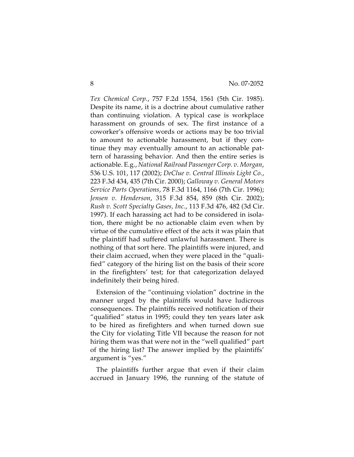*Tex Chemical Corp.*, 757 F.2d 1554, 1561 (5th Cir. 1985). Despite its name, it is a doctrine about cumulative rather than continuing violation. A typical case is workplace harassment on grounds of sex. The first instance of a coworker's offensive words or actions may be too trivial to amount to actionable harassment, but if they continue they may eventually amount to an actionable pattern of harassing behavior. And then the entire series is actionable. E.g., *National Railroad Passenger Corp. v. Morgan*, 536 U.S. 101, 117 (2002); *DeClue v. Central Illinois Light Co.*, 223 F.3d 434, 435 (7th Cir. 2000); *Galloway v. General Motors Service Parts Operations*, 78 F.3d 1164, 1166 (7th Cir. 1996); *Jensen v. Henderson*, 315 F.3d 854, 859 (8th Cir. 2002); *Rush v. Scott Specialty Gases, Inc.*, 113 F.3d 476, 482 (3d Cir. 1997). If each harassing act had to be considered in isolation, there might be no actionable claim even when by virtue of the cumulative effect of the acts it was plain that the plaintiff had suffered unlawful harassment. There is nothing of that sort here. The plaintiffs were injured, and their claim accrued, when they were placed in the "qualified" category of the hiring list on the basis of their score in the firefighters' test; for that categorization delayed indefinitely their being hired.

Extension of the "continuing violation" doctrine in the manner urged by the plaintiffs would have ludicrous consequences. The plaintiffs received notification of their "qualified" status in 1995; could they ten years later ask to be hired as firefighters and when turned down sue the City for violating Title VII because the reason for not hiring them was that were not in the "well qualified" part of the hiring list? The answer implied by the plaintiffs' argument is "yes."

The plaintiffs further argue that even if their claim accrued in January 1996, the running of the statute of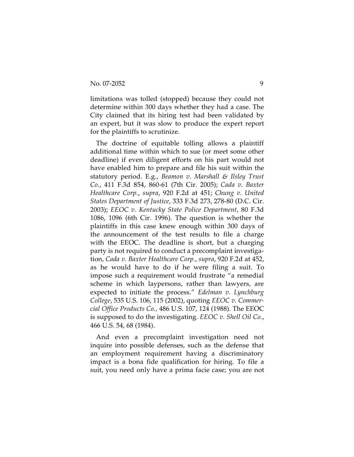limitations was tolled (stopped) because they could not determine within 300 days whether they had a case. The City claimed that its hiring test had been validated by an expert, but it was slow to produce the expert report for the plaintiffs to scrutinize.

The doctrine of equitable tolling allows a plaintiff additional time within which to sue (or meet some other deadline) if even diligent efforts on his part would not have enabled him to prepare and file his suit within the statutory period. E.g., *Beamon v. Marshall & Ilsley Trust Co.*, 411 F.3d 854, 860-61 (7th Cir. 2005); *Cada v. Baxter Healthcare Corp.*, *supra*, 920 F.2d at 451; *Chung v. United States Department of Justice*, 333 F.3d 273, 278-80 (D.C. Cir. 2003); *EEOC v. Kentucky State Police Department*, 80 F.3d 1086, 1096 (6th Cir. 1996). The question is whether the plaintiffs in this case knew enough within 300 days of the announcement of the test results to file a charge with the EEOC. The deadline is short, but a charging party is not required to conduct a precomplaint investigation, *Cada v. Baxter Healthcare Corp.*, *supra*, 920 F.2d at 452, as he would have to do if he were filing a suit. To impose such a requirement would frustrate "a remedial scheme in which laypersons, rather than lawyers, are expected to initiate the process." *Edelman v. Lynchburg College*, 535 U.S. 106, 115 (2002), quoting *EEOC v. Commercial Office Products Co.,* 486 U.S. 107, 124 (1988). The EEOC is supposed to do the investigating. *EEOC v. Shell Oil Co.*, 466 U.S. 54, 68 (1984).

And even a precomplaint investigation need not inquire into possible defenses, such as the defense that an employment requirement having a discriminatory impact is a bona fide qualification for hiring. To file a suit, you need only have a prima facie case; you are not